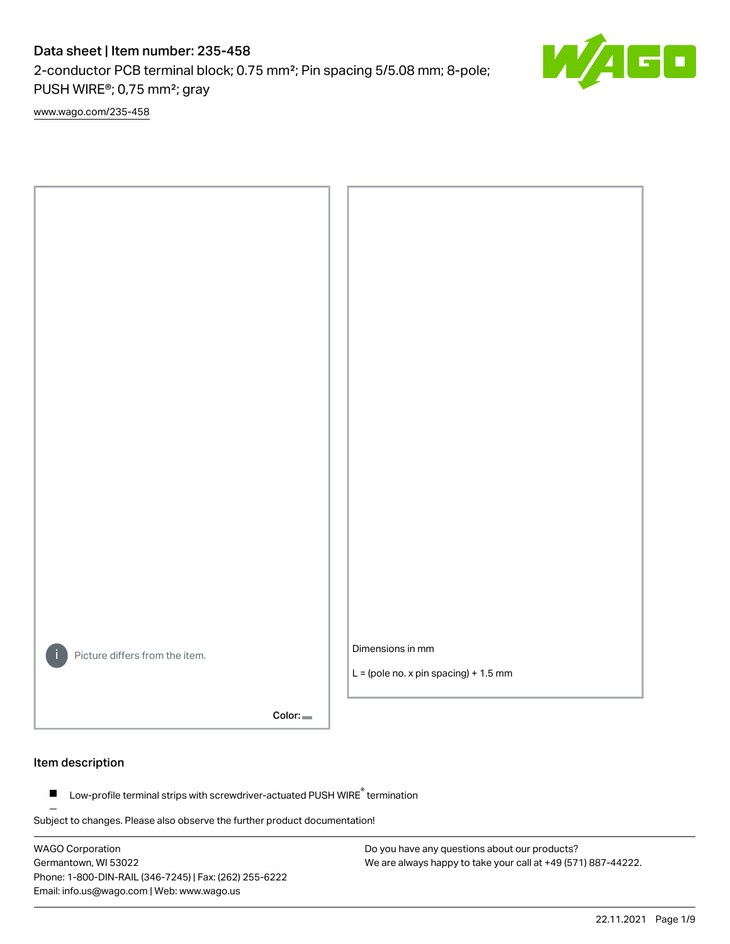2-conductor PCB terminal block; 0.75 mm²; Pin spacing 5/5.08 mm; 8-pole; PUSH WIRE®; 0,75 mm²; gray

[www.wago.com/235-458](http://www.wago.com/235-458)



Color:

### Item description

Low-profile terminal strips with screwdriver-actuated PUSH WIRE® termination  $\blacksquare$ 

Subject to changes. Please also observe the further product documentation!

WAGO Corporation Germantown, WI 53022 Phone: 1-800-DIN-RAIL (346-7245) | Fax: (262) 255-6222 Email: info.us@wago.com | Web: www.wago.us



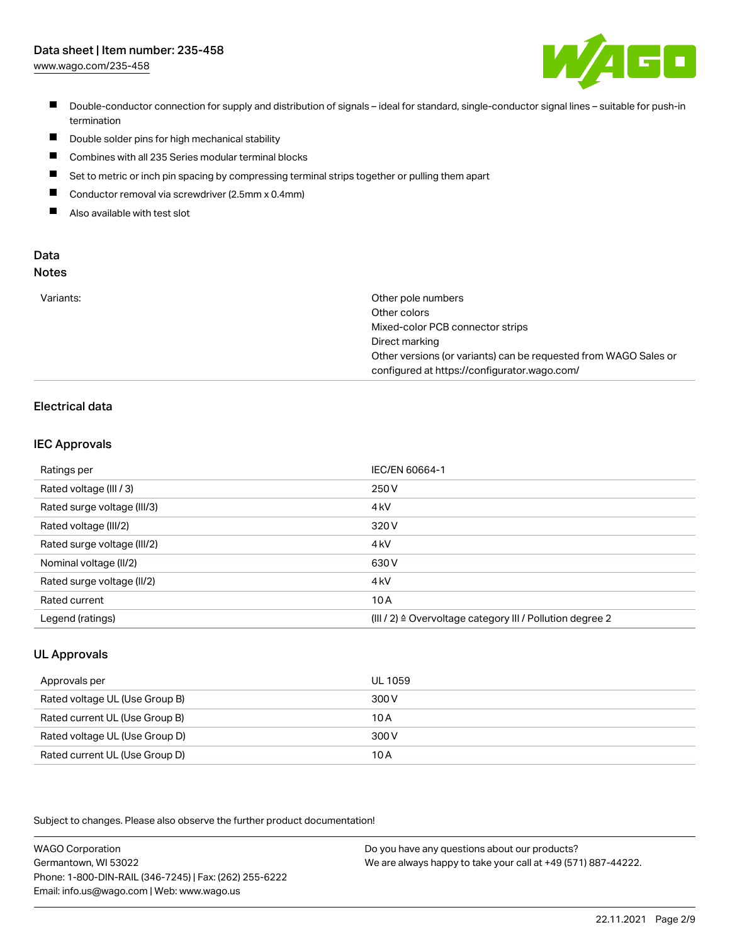[www.wago.com/235-458](http://www.wago.com/235-458)



- Double-conductor connection for supply and distribution of signals ideal for standard, single-conductor signal lines suitable for push-in termination
- $\blacksquare$ Double solder pins for high mechanical stability
- $\blacksquare$ Combines with all 235 Series modular terminal blocks
- $\blacksquare$ Set to metric or inch pin spacing by compressing terminal strips together or pulling them apart
- $\blacksquare$ Conductor removal via screwdriver (2.5mm x 0.4mm)
- $\blacksquare$ Also available with test slot

#### Data Notes

|  | . . | . .<br>÷<br>۰. | I<br>×<br>۰. |  |
|--|-----|----------------|--------------|--|
|  |     |                |              |  |
|  |     |                |              |  |

| Variants: | Other pole numbers                                               |
|-----------|------------------------------------------------------------------|
|           | Other colors                                                     |
|           | Mixed-color PCB connector strips                                 |
|           | Direct marking                                                   |
|           | Other versions (or variants) can be requested from WAGO Sales or |
|           | configured at https://configurator.wago.com/                     |

## Electrical data

## IEC Approvals

| Ratings per                 | IEC/EN 60664-1                                                        |
|-----------------------------|-----------------------------------------------------------------------|
| Rated voltage (III / 3)     | 250 V                                                                 |
| Rated surge voltage (III/3) | 4 <sub>k</sub> V                                                      |
| Rated voltage (III/2)       | 320 V                                                                 |
| Rated surge voltage (III/2) | 4 <sub>k</sub> V                                                      |
| Nominal voltage (II/2)      | 630 V                                                                 |
| Rated surge voltage (II/2)  | 4 <sub>k</sub> V                                                      |
| Rated current               | 10A                                                                   |
| Legend (ratings)            | $(III / 2)$ $\triangle$ Overvoltage category III / Pollution degree 2 |

## UL Approvals

| Approvals per                  | UL 1059 |
|--------------------------------|---------|
| Rated voltage UL (Use Group B) | 300 V   |
| Rated current UL (Use Group B) | 10 A    |
| Rated voltage UL (Use Group D) | 300 V   |
| Rated current UL (Use Group D) | 10A     |

Subject to changes. Please also observe the further product documentation!

| <b>WAGO Corporation</b>                                | Do you have any questions about our products?                 |
|--------------------------------------------------------|---------------------------------------------------------------|
| Germantown, WI 53022                                   | We are always happy to take your call at +49 (571) 887-44222. |
| Phone: 1-800-DIN-RAIL (346-7245)   Fax: (262) 255-6222 |                                                               |
| Email: info.us@wago.com   Web: www.wago.us             |                                                               |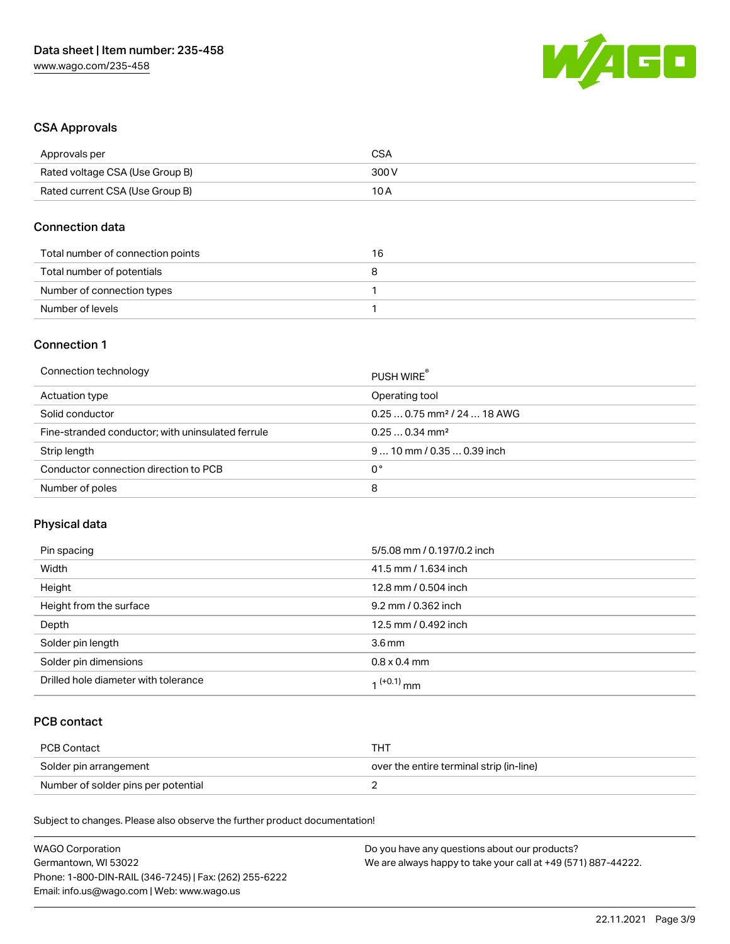

## CSA Approvals

| Approvals per                   | CSA   |
|---------------------------------|-------|
| Rated voltage CSA (Use Group B) | 300 V |
| Rated current CSA (Use Group B) | 10 A  |

### Connection data

| Total number of connection points | 16 |
|-----------------------------------|----|
| Total number of potentials        |    |
| Number of connection types        |    |
| Number of levels                  |    |

### Connection 1

| Connection technology                             | PUSH WIRE                               |
|---------------------------------------------------|-----------------------------------------|
| Actuation type                                    | Operating tool                          |
| Solid conductor                                   | $0.250.75$ mm <sup>2</sup> / 24  18 AWG |
| Fine-stranded conductor; with uninsulated ferrule | $0.250.34$ mm <sup>2</sup>              |
| Strip length                                      | $910$ mm / 0.35  0.39 inch              |
| Conductor connection direction to PCB             | 0°                                      |
| Number of poles                                   | 8                                       |

## Physical data

| Pin spacing                          | 5/5.08 mm / 0.197/0.2 inch |
|--------------------------------------|----------------------------|
| Width                                | 41.5 mm / 1.634 inch       |
| Height                               | 12.8 mm / 0.504 inch       |
| Height from the surface              | 9.2 mm / 0.362 inch        |
| Depth                                | 12.5 mm / 0.492 inch       |
| Solder pin length                    | $3.6 \,\mathrm{mm}$        |
| Solder pin dimensions                | $0.8 \times 0.4$ mm        |
| Drilled hole diameter with tolerance | 1 <sup>(+0.1)</sup> mm     |

## PCB contact

| PCB Contact                         | TH .                                     |
|-------------------------------------|------------------------------------------|
| Solder pin arrangement              | over the entire terminal strip (in-line) |
| Number of solder pins per potential |                                          |

Subject to changes. Please also observe the further product documentation!

| <b>WAGO Corporation</b>                                | Do you have any questions about our products?                 |
|--------------------------------------------------------|---------------------------------------------------------------|
| Germantown, WI 53022                                   | We are always happy to take your call at +49 (571) 887-44222. |
| Phone: 1-800-DIN-RAIL (346-7245)   Fax: (262) 255-6222 |                                                               |
| Email: info.us@wago.com   Web: www.wago.us             |                                                               |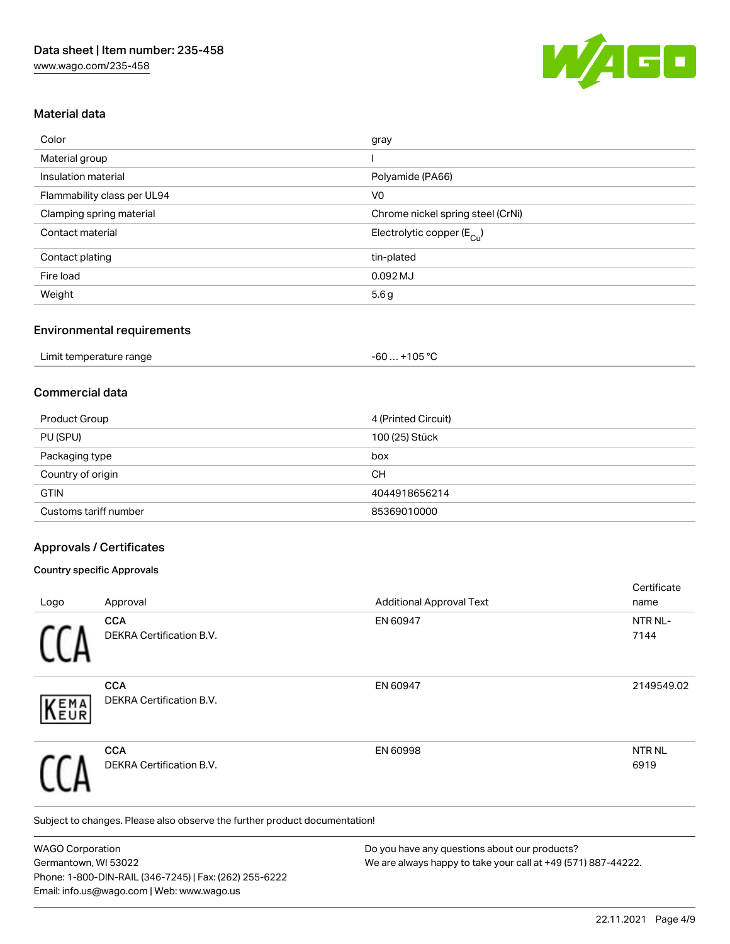

## Material data

| Color                       | gray                                  |
|-----------------------------|---------------------------------------|
| Material group              |                                       |
| Insulation material         | Polyamide (PA66)                      |
| Flammability class per UL94 | V <sub>0</sub>                        |
| Clamping spring material    | Chrome nickel spring steel (CrNi)     |
| Contact material            | Electrolytic copper $(E_{\text{Cl}})$ |
| Contact plating             | tin-plated                            |
| Fire load                   | 0.092 MJ                              |
| Weight                      | 5.6g                                  |

#### Environmental requirements

| Limit temperature range | +105 °C<br>- 60  . |  |
|-------------------------|--------------------|--|
|-------------------------|--------------------|--|

## Commercial data

| Product Group         | 4 (Printed Circuit) |
|-----------------------|---------------------|
| PU (SPU)              | 100 (25) Stück      |
| Packaging type        | box                 |
| Country of origin     | CН                  |
| <b>GTIN</b>           | 4044918656214       |
| Customs tariff number | 85369010000         |

### Approvals / Certificates

#### Country specific Approvals

|                                        |                                 | Certificate               |
|----------------------------------------|---------------------------------|---------------------------|
| Approval                               | <b>Additional Approval Text</b> | name                      |
| <b>CCA</b><br>DEKRA Certification B.V. | EN 60947                        | NTR NL-<br>7144           |
| <b>CCA</b><br>DEKRA Certification B.V. | EN 60947                        | 2149549.02                |
| <b>CCA</b><br>DEKRA Certification B.V. | EN 60998                        | NTR <sub>NL</sub><br>6919 |
|                                        |                                 |                           |

Subject to changes. Please also observe the further product documentation!

WAGO Corporation Germantown, WI 53022 Phone: 1-800-DIN-RAIL (346-7245) | Fax: (262) 255-6222 Email: info.us@wago.com | Web: www.wago.us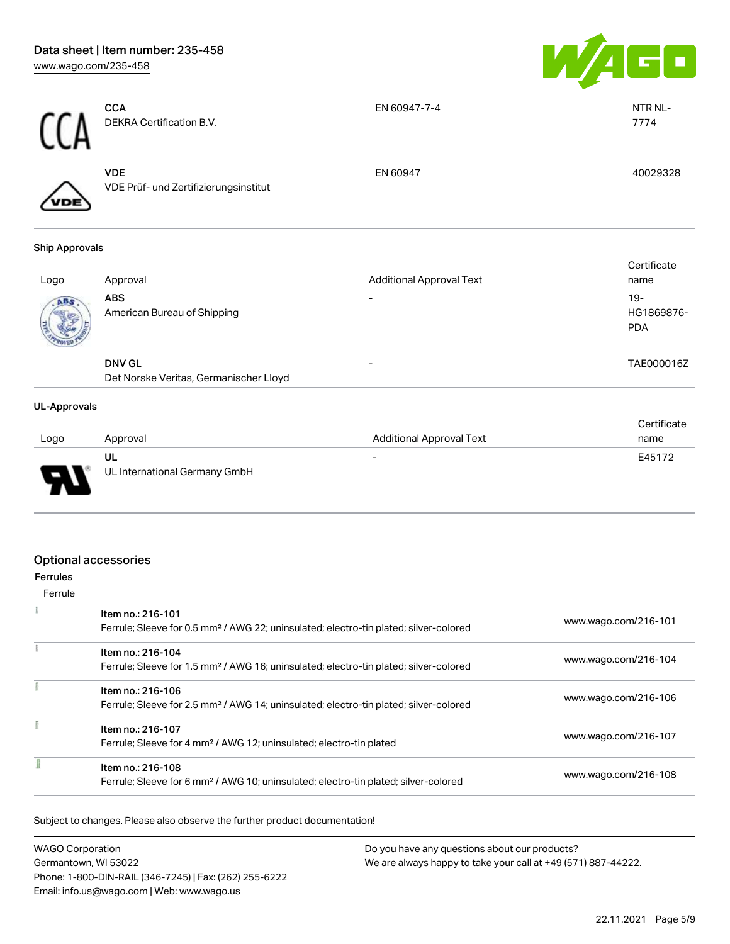

| <b>CCN</b> | <b>CCA</b><br>DEKRA Certification B.V.              | EN 60947-7-4 | NTR NL-<br>7774 |
|------------|-----------------------------------------------------|--------------|-----------------|
| /VDE       | <b>VDE</b><br>VDE Prüf- und Zertifizierungsinstitut | EN 60947     | 40029328        |

#### Ship Approvals

| Logo | Approval                                  | <b>Additional Approval Text</b> | Certificate<br>name               |
|------|-------------------------------------------|---------------------------------|-----------------------------------|
| ABS  | <b>ABS</b><br>American Bureau of Shipping | $\overline{\phantom{0}}$        | $19-$<br>HG1869876-<br><b>PDA</b> |
|      | <b>DNV GL</b>                             |                                 | TAE000016Z                        |
|      | Det Norske Veritas, Germanischer Lloyd    |                                 |                                   |

#### UL-Approvals

| Logo   | Approval                            | <b>Additional Approval Text</b> | Certificate<br>name |
|--------|-------------------------------------|---------------------------------|---------------------|
| $\Box$ | UL<br>UL International Germany GmbH | $\overline{\phantom{0}}$        | E45172              |

# Optional accessories

| errules |
|---------|

| Ferrule |                                                                                                   |                      |
|---------|---------------------------------------------------------------------------------------------------|----------------------|
|         | Item no.: 216-101                                                                                 |                      |
|         | Ferrule; Sleeve for 0.5 mm <sup>2</sup> / AWG 22; uninsulated; electro-tin plated; silver-colored | www.wago.com/216-101 |
|         | Item no.: 216-104                                                                                 |                      |
|         | Ferrule; Sleeve for 1.5 mm <sup>2</sup> / AWG 16; uninsulated; electro-tin plated; silver-colored | www.wago.com/216-104 |
|         | Item no.: 216-106                                                                                 |                      |
|         | Ferrule; Sleeve for 2.5 mm <sup>2</sup> / AWG 14; uninsulated; electro-tin plated; silver-colored | www.wago.com/216-106 |
|         | Item no.: 216-107                                                                                 |                      |
|         | Ferrule; Sleeve for 4 mm <sup>2</sup> / AWG 12; uninsulated; electro-tin plated                   | www.wago.com/216-107 |
|         | Item no.: 216-108                                                                                 |                      |
|         | Ferrule; Sleeve for 6 mm <sup>2</sup> / AWG 10; uninsulated; electro-tin plated; silver-colored   | www.wago.com/216-108 |

Subject to changes. Please also observe the further product documentation!

| <b>WAGO Corporation</b>                                                               | Do you have any questions about our products? |  |
|---------------------------------------------------------------------------------------|-----------------------------------------------|--|
| We are always happy to take your call at +49 (571) 887-44222.<br>Germantown, WI 53022 |                                               |  |
| Phone: 1-800-DIN-RAIL (346-7245)   Fax: (262) 255-6222                                |                                               |  |
| Email: info.us@wago.com   Web: www.wago.us                                            |                                               |  |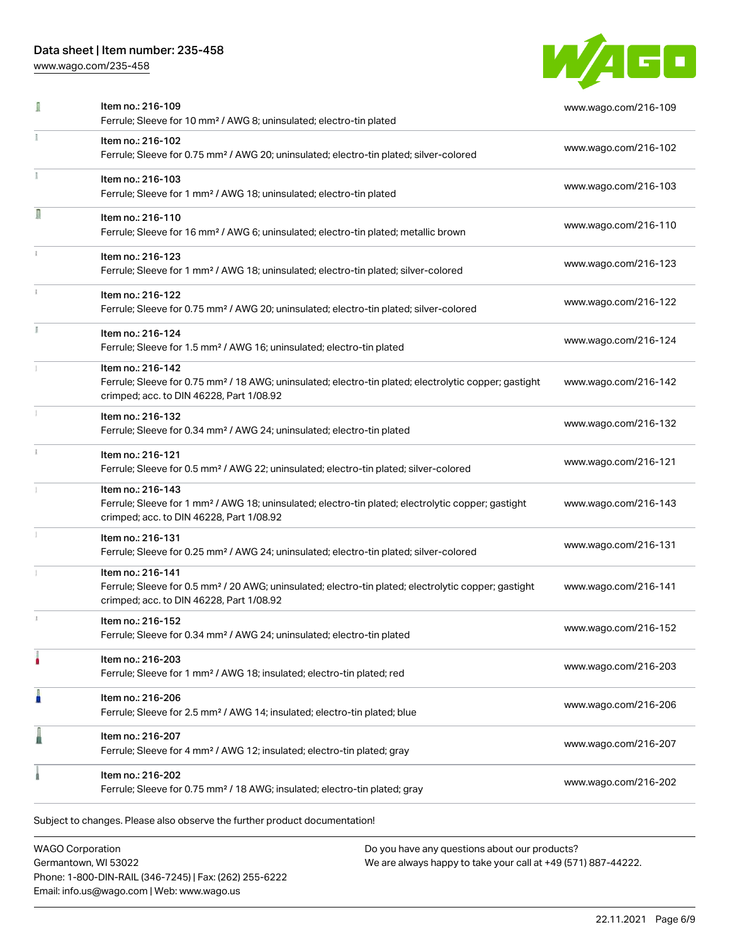[www.wago.com/235-458](http://www.wago.com/235-458)



|    | Item no.: 216-109<br>Ferrule; Sleeve for 10 mm <sup>2</sup> / AWG 8; uninsulated; electro-tin plated                                                                               | www.wago.com/216-109 |
|----|------------------------------------------------------------------------------------------------------------------------------------------------------------------------------------|----------------------|
|    | Item no.: 216-102<br>Ferrule; Sleeve for 0.75 mm <sup>2</sup> / AWG 20; uninsulated; electro-tin plated; silver-colored                                                            | www.wago.com/216-102 |
|    | Item no.: 216-103<br>Ferrule; Sleeve for 1 mm <sup>2</sup> / AWG 18; uninsulated; electro-tin plated                                                                               | www.wago.com/216-103 |
| Л  | Item no.: 216-110<br>Ferrule; Sleeve for 16 mm <sup>2</sup> / AWG 6; uninsulated; electro-tin plated; metallic brown                                                               | www.wago.com/216-110 |
|    | Item no.: 216-123<br>Ferrule; Sleeve for 1 mm <sup>2</sup> / AWG 18; uninsulated; electro-tin plated; silver-colored                                                               | www.wago.com/216-123 |
|    | Item no.: 216-122<br>Ferrule; Sleeve for 0.75 mm <sup>2</sup> / AWG 20; uninsulated; electro-tin plated; silver-colored                                                            | www.wago.com/216-122 |
| I. | Item no.: 216-124<br>Ferrule; Sleeve for 1.5 mm <sup>2</sup> / AWG 16; uninsulated; electro-tin plated                                                                             | www.wago.com/216-124 |
|    | Item no.: 216-142<br>Ferrule; Sleeve for 0.75 mm <sup>2</sup> / 18 AWG; uninsulated; electro-tin plated; electrolytic copper; gastight<br>crimped; acc. to DIN 46228, Part 1/08.92 | www.wago.com/216-142 |
|    | Item no.: 216-132<br>Ferrule; Sleeve for 0.34 mm <sup>2</sup> / AWG 24; uninsulated; electro-tin plated                                                                            | www.wago.com/216-132 |
|    | Item no.: 216-121<br>Ferrule; Sleeve for 0.5 mm <sup>2</sup> / AWG 22; uninsulated; electro-tin plated; silver-colored                                                             | www.wago.com/216-121 |
|    | Item no.: 216-143<br>Ferrule; Sleeve for 1 mm <sup>2</sup> / AWG 18; uninsulated; electro-tin plated; electrolytic copper; gastight<br>crimped; acc. to DIN 46228, Part 1/08.92    | www.wago.com/216-143 |
|    | Item no.: 216-131<br>Ferrule; Sleeve for 0.25 mm <sup>2</sup> / AWG 24; uninsulated; electro-tin plated; silver-colored                                                            | www.wago.com/216-131 |
|    | Item no.: 216-141<br>Ferrule; Sleeve for 0.5 mm <sup>2</sup> / 20 AWG; uninsulated; electro-tin plated; electrolytic copper; gastight<br>crimped; acc. to DIN 46228, Part 1/08.92  | www.wago.com/216-141 |
|    | Item no.: 216-152<br>Ferrule; Sleeve for 0.34 mm <sup>2</sup> / AWG 24; uninsulated; electro-tin plated                                                                            | www.wago.com/216-152 |
|    | Item no.: 216-203<br>Ferrule; Sleeve for 1 mm <sup>2</sup> / AWG 18; insulated; electro-tin plated; red                                                                            | www.wago.com/216-203 |
| n  | Item no.: 216-206<br>Ferrule; Sleeve for 2.5 mm <sup>2</sup> / AWG 14; insulated; electro-tin plated; blue                                                                         | www.wago.com/216-206 |
|    | Item no.: 216-207<br>Ferrule; Sleeve for 4 mm <sup>2</sup> / AWG 12; insulated; electro-tin plated; gray                                                                           | www.wago.com/216-207 |
|    | Item no.: 216-202<br>Ferrule; Sleeve for 0.75 mm <sup>2</sup> / 18 AWG; insulated; electro-tin plated; gray                                                                        | www.wago.com/216-202 |

WAGO Corporation Germantown, WI 53022 Phone: 1-800-DIN-RAIL (346-7245) | Fax: (262) 255-6222 Email: info.us@wago.com | Web: www.wago.us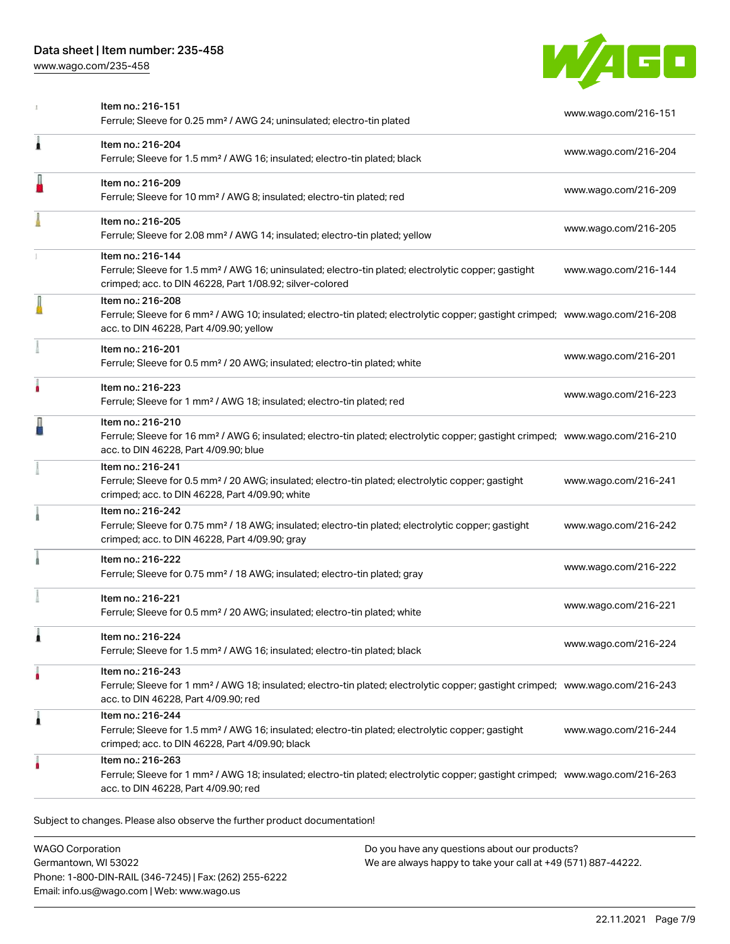[www.wago.com/235-458](http://www.wago.com/235-458)



|   | Item no.: 216-151<br>Ferrule; Sleeve for 0.25 mm <sup>2</sup> / AWG 24; uninsulated; electro-tin plated                                                                                                    | www.wago.com/216-151 |
|---|------------------------------------------------------------------------------------------------------------------------------------------------------------------------------------------------------------|----------------------|
| Â | Item no.: 216-204<br>Ferrule; Sleeve for 1.5 mm <sup>2</sup> / AWG 16; insulated; electro-tin plated; black                                                                                                | www.wago.com/216-204 |
|   | Item no.: 216-209<br>Ferrule; Sleeve for 10 mm <sup>2</sup> / AWG 8; insulated; electro-tin plated; red                                                                                                    | www.wago.com/216-209 |
|   | Item no.: 216-205<br>Ferrule; Sleeve for 2.08 mm <sup>2</sup> / AWG 14; insulated; electro-tin plated; yellow                                                                                              | www.wago.com/216-205 |
|   | Item no.: 216-144<br>Ferrule; Sleeve for 1.5 mm <sup>2</sup> / AWG 16; uninsulated; electro-tin plated; electrolytic copper; gastight<br>crimped; acc. to DIN 46228, Part 1/08.92; silver-colored          | www.wago.com/216-144 |
|   | Item no.: 216-208<br>Ferrule; Sleeve for 6 mm <sup>2</sup> / AWG 10; insulated; electro-tin plated; electrolytic copper; gastight crimped; www.wago.com/216-208<br>acc. to DIN 46228, Part 4/09.90; yellow |                      |
|   | Item no.: 216-201<br>Ferrule; Sleeve for 0.5 mm <sup>2</sup> / 20 AWG; insulated; electro-tin plated; white                                                                                                | www.wago.com/216-201 |
|   | Item no.: 216-223<br>Ferrule; Sleeve for 1 mm <sup>2</sup> / AWG 18; insulated; electro-tin plated; red                                                                                                    | www.wago.com/216-223 |
|   | Item no.: 216-210<br>Ferrule; Sleeve for 16 mm <sup>2</sup> / AWG 6; insulated; electro-tin plated; electrolytic copper; gastight crimped; www.wago.com/216-210<br>acc. to DIN 46228, Part 4/09.90; blue   |                      |
|   | Item no.: 216-241<br>Ferrule; Sleeve for 0.5 mm <sup>2</sup> / 20 AWG; insulated; electro-tin plated; electrolytic copper; gastight<br>crimped; acc. to DIN 46228, Part 4/09.90; white                     | www.wago.com/216-241 |
|   | Item no.: 216-242<br>Ferrule; Sleeve for 0.75 mm <sup>2</sup> / 18 AWG; insulated; electro-tin plated; electrolytic copper; gastight<br>crimped; acc. to DIN 46228, Part 4/09.90; gray                     | www.wago.com/216-242 |
|   | Item no.: 216-222<br>Ferrule; Sleeve for 0.75 mm <sup>2</sup> / 18 AWG; insulated; electro-tin plated; gray                                                                                                | www.wago.com/216-222 |
|   | Item no.: 216-221<br>Ferrule; Sleeve for 0.5 mm <sup>2</sup> / 20 AWG; insulated; electro-tin plated; white                                                                                                | www.wago.com/216-221 |
|   | Item no.: 216-224<br>Ferrule; Sleeve for 1.5 mm <sup>2</sup> / AWG 16; insulated; electro-tin plated; black                                                                                                | www.wago.com/216-224 |
|   | Item no.: 216-243<br>Ferrule; Sleeve for 1 mm <sup>2</sup> / AWG 18; insulated; electro-tin plated; electrolytic copper; gastight crimped; www.wago.com/216-243<br>acc. to DIN 46228, Part 4/09.90; red    |                      |
| 1 | Item no.: 216-244<br>Ferrule; Sleeve for 1.5 mm <sup>2</sup> / AWG 16; insulated; electro-tin plated; electrolytic copper; gastight<br>crimped; acc. to DIN 46228, Part 4/09.90; black                     | www.wago.com/216-244 |
|   | Item no.: 216-263<br>Ferrule; Sleeve for 1 mm <sup>2</sup> / AWG 18; insulated; electro-tin plated; electrolytic copper; gastight crimped; www.wago.com/216-263<br>acc. to DIN 46228, Part 4/09.90; red    |                      |

Subject to changes. Please also observe the further product documentation!

WAGO Corporation Germantown, WI 53022 Phone: 1-800-DIN-RAIL (346-7245) | Fax: (262) 255-6222 Email: info.us@wago.com | Web: www.wago.us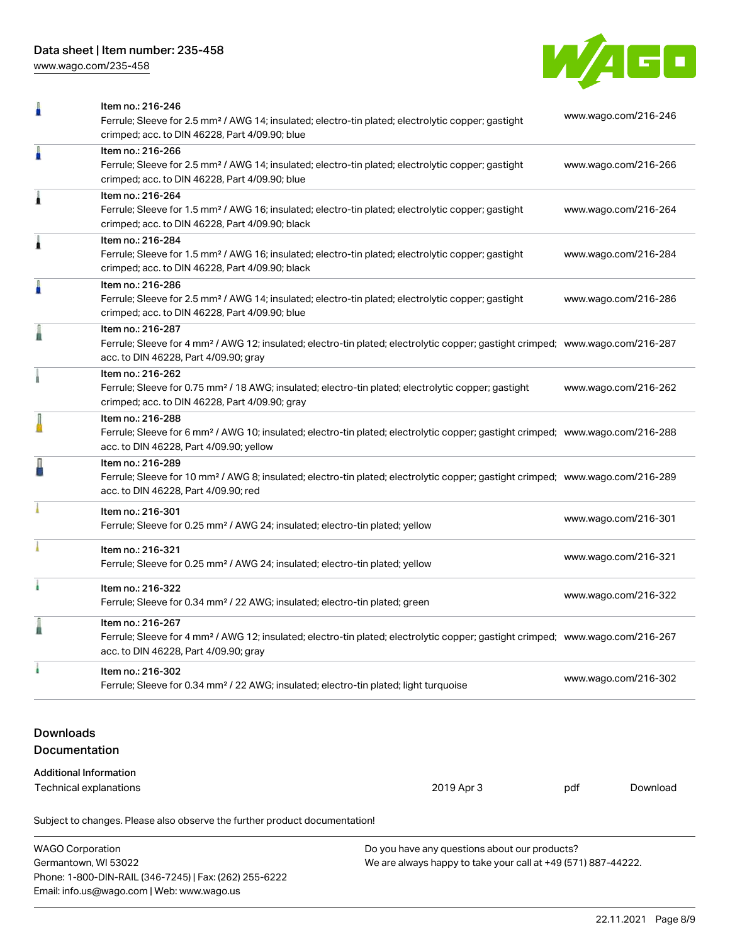[www.wago.com/235-458](http://www.wago.com/235-458)



| Ω                                                              | Item no.: 216-246<br>Ferrule; Sleeve for 2.5 mm <sup>2</sup> / AWG 14; insulated; electro-tin plated; electrolytic copper; gastight<br>crimped; acc. to DIN 46228, Part 4/09.90; blue                      |     | www.wago.com/216-246 |  |
|----------------------------------------------------------------|------------------------------------------------------------------------------------------------------------------------------------------------------------------------------------------------------------|-----|----------------------|--|
| Ä                                                              | Item no.: 216-266<br>Ferrule; Sleeve for 2.5 mm <sup>2</sup> / AWG 14; insulated; electro-tin plated; electrolytic copper; gastight<br>crimped; acc. to DIN 46228, Part 4/09.90; blue                      |     | www.wago.com/216-266 |  |
| Â                                                              | Item no.: 216-264<br>Ferrule; Sleeve for 1.5 mm <sup>2</sup> / AWG 16; insulated; electro-tin plated; electrolytic copper; gastight<br>crimped; acc. to DIN 46228, Part 4/09.90; black                     |     | www.wago.com/216-264 |  |
| Â                                                              | Item no.: 216-284<br>Ferrule; Sleeve for 1.5 mm <sup>2</sup> / AWG 16; insulated; electro-tin plated; electrolytic copper; gastight<br>crimped; acc. to DIN 46228, Part 4/09.90; black                     |     | www.wago.com/216-284 |  |
| A                                                              | Item no.: 216-286<br>Ferrule; Sleeve for 2.5 mm <sup>2</sup> / AWG 14; insulated; electro-tin plated; electrolytic copper; gastight<br>crimped; acc. to DIN 46228, Part 4/09.90; blue                      |     | www.wago.com/216-286 |  |
|                                                                | Item no.: 216-287<br>Ferrule; Sleeve for 4 mm <sup>2</sup> / AWG 12; insulated; electro-tin plated; electrolytic copper; gastight crimped; www.wago.com/216-287<br>acc. to DIN 46228, Part 4/09.90; gray   |     |                      |  |
|                                                                | Item no.: 216-262<br>Ferrule; Sleeve for 0.75 mm <sup>2</sup> / 18 AWG; insulated; electro-tin plated; electrolytic copper; gastight<br>crimped; acc. to DIN 46228, Part 4/09.90; gray                     |     | www.wago.com/216-262 |  |
|                                                                | Item no.: 216-288<br>Ferrule; Sleeve for 6 mm <sup>2</sup> / AWG 10; insulated; electro-tin plated; electrolytic copper; gastight crimped; www.wago.com/216-288<br>acc. to DIN 46228, Part 4/09.90; yellow |     |                      |  |
|                                                                | Item no.: 216-289<br>Ferrule; Sleeve for 10 mm <sup>2</sup> / AWG 8; insulated; electro-tin plated; electrolytic copper; gastight crimped; www.wago.com/216-289<br>acc. to DIN 46228, Part 4/09.90; red    |     |                      |  |
|                                                                | Item no.: 216-301<br>Ferrule; Sleeve for 0.25 mm <sup>2</sup> / AWG 24; insulated; electro-tin plated; yellow                                                                                              |     | www.wago.com/216-301 |  |
|                                                                | Item no.: 216-321<br>Ferrule; Sleeve for 0.25 mm <sup>2</sup> / AWG 24; insulated; electro-tin plated; yellow                                                                                              |     | www.wago.com/216-321 |  |
| i.                                                             | Item no.: 216-322<br>Ferrule; Sleeve for 0.34 mm <sup>2</sup> / 22 AWG; insulated; electro-tin plated; green                                                                                               |     | www.wago.com/216-322 |  |
|                                                                | Item no.: 216-267<br>Ferrule; Sleeve for 4 mm <sup>2</sup> / AWG 12; insulated; electro-tin plated; electrolytic copper; gastight crimped; www.wago.com/216-267<br>acc. to DIN 46228, Part 4/09.90; gray   |     |                      |  |
| ı                                                              | Item no.: 216-302<br>Ferrule; Sleeve for 0.34 mm <sup>2</sup> / 22 AWG; insulated; electro-tin plated; light turquoise                                                                                     |     | www.wago.com/216-302 |  |
| <b>Downloads</b><br><b>Documentation</b>                       |                                                                                                                                                                                                            |     |                      |  |
| <b>Additional Information</b><br><b>Technical explanations</b> | 2019 Apr 3                                                                                                                                                                                                 | pdf | Download             |  |
|                                                                | Subject to changes. Please also observe the further product documentation!                                                                                                                                 |     |                      |  |

| <b>WAGO Corporation</b>                                | Do you have any questions about our products?                 |
|--------------------------------------------------------|---------------------------------------------------------------|
| Germantown, WI 53022                                   | We are always happy to take your call at +49 (571) 887-44222. |
| Phone: 1-800-DIN-RAIL (346-7245)   Fax: (262) 255-6222 |                                                               |
| Email: info.us@wago.com   Web: www.wago.us             |                                                               |